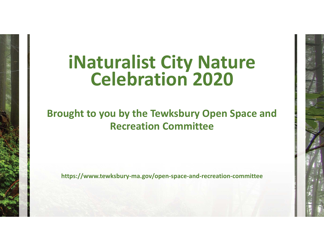## **iNaturalist City Nature Celebration 2020**

## **Brought to you by the Tewksbury Open Space and Recreation Committee**

**https://www.tewksbury‐ma.gov/open‐space‐and‐recreation‐committee**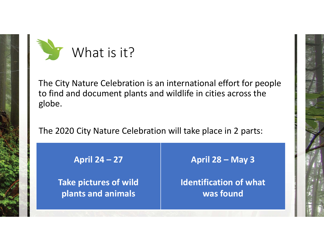

The City Nature Celebration is an international effort for people to find and document plants and wildlife in cities across the globe.

The 2020 City Nature Celebration will take place in 2 parts:

**April 24 – 27**

**Take pictures of wild plants and animals**

**April 28 – May 3**

**Identification of what was found**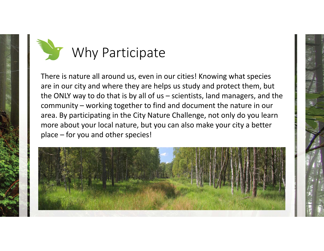

There is nature all around us, even in our cities! Knowing what species are in our city and where they are helps us study and protect them, but the ONLY way to do that is by all of us – scientists, land managers, and the community – working together to find and document the nature in our area. By participating in the City Nature Challenge, not only do you learn more about your local nature, but you can also make your city <sup>a</sup> better place – for you and other species!

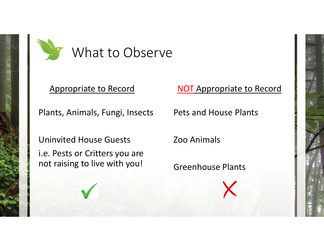

## Appropriate to Record

Plants, Animals, Fungi, Insects

Uninvited House Guests

i.e. Pests or Critters you are not raising to live with you!

NOT Appropriate to Record

Pets and House Plants

Zoo Animals

Greenhouse Plants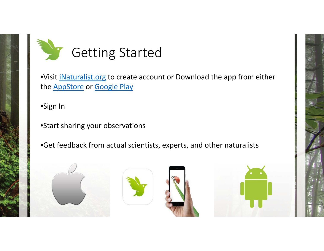

•Visit iNaturalist.org to create account or Download the app from either the <u>AppStore</u> or <u>Google Play</u>

•Sign In

•Start sharing your observations

•Get feedback from actual scientists, experts, and other naturalists







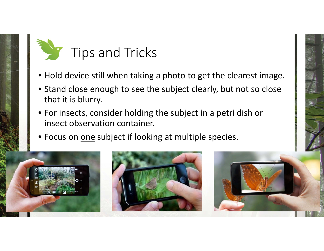

- Hold device still when taking <sup>a</sup> photo to get the clearest image.
- Stand close enough to see the subject clearly, but not so close that it is blurry.
- For insects, consider holding the subject in <sup>a</sup> petri dish or insect observation container.
- Focus on <u>one</u> subject if looking at multiple species.

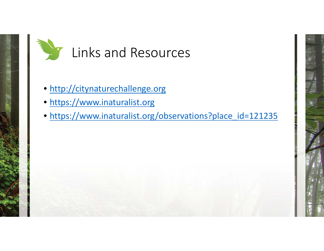

- http://citynaturechallenge.org
- https://www.inaturalist.org
- https://www.inaturalist.org/observations?place\_id=121235